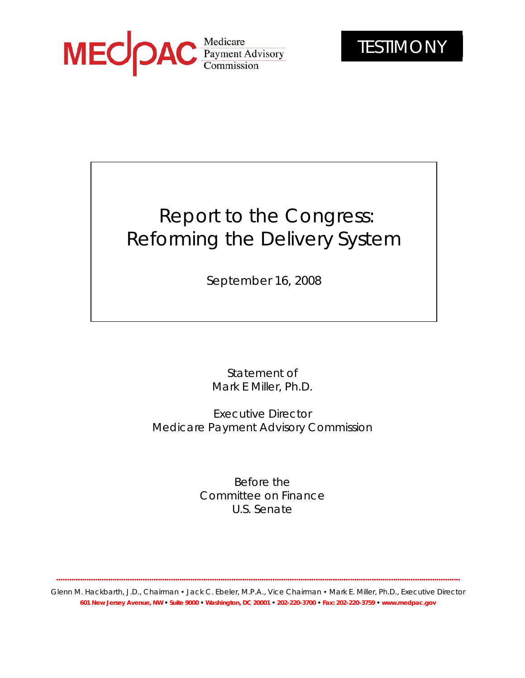

# Report to the Congress: Reforming the Delivery System

September 16, 2008

Statement of Mark E Miller, Ph.D.

Executive Director Medicare Payment Advisory Commission

> Before the Committee on Finance U.S. Senate

**...........................................................................................................................................................................................**

Glenn M. Hackbarth, J.D., Chairman • Jack C. Ebeler, M.P.A., Vice Chairman • Mark E. Miller, Ph.D., Executive Director **601 New Jersey Avenue, NW • Suite 9000 • Washington, DC 20001 • 202-220-3700 • Fax: 202-220-3759 • www.medpac.gov**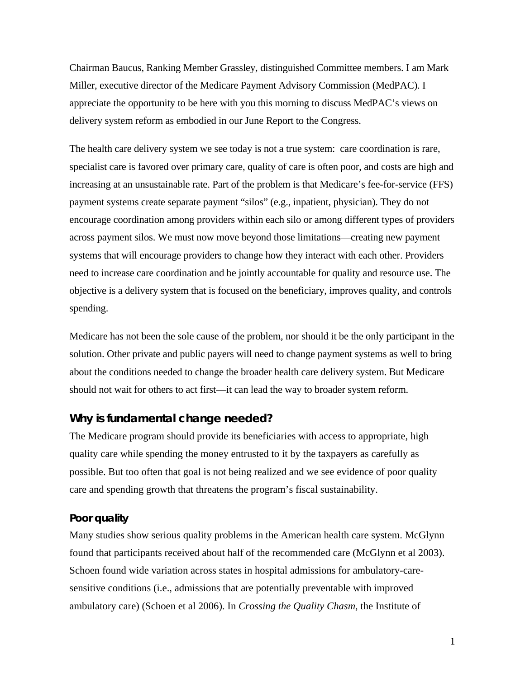Chairman Baucus, Ranking Member Grassley, distinguished Committee members. I am Mark Miller, executive director of the Medicare Payment Advisory Commission (MedPAC). I appreciate the opportunity to be here with you this morning to discuss MedPAC's views on delivery system reform as embodied in our June Report to the Congress.

The health care delivery system we see today is not a true system: care coordination is rare, specialist care is favored over primary care, quality of care is often poor, and costs are high and increasing at an unsustainable rate. Part of the problem is that Medicare's fee-for-service (FFS) payment systems create separate payment "silos" (e.g., inpatient, physician). They do not encourage coordination among providers within each silo or among different types of providers across payment silos. We must now move beyond those limitations—creating new payment systems that will encourage providers to change how they interact with each other. Providers need to increase care coordination and be jointly accountable for quality and resource use. The objective is a delivery system that is focused on the beneficiary, improves quality, and controls spending.

Medicare has not been the sole cause of the problem, nor should it be the only participant in the solution. Other private and public payers will need to change payment systems as well to bring about the conditions needed to change the broader health care delivery system. But Medicare should not wait for others to act first—it can lead the way to broader system reform.

## **Why is fundamental change needed?**

The Medicare program should provide its beneficiaries with access to appropriate, high quality care while spending the money entrusted to it by the taxpayers as carefully as possible. But too often that goal is not being realized and we see evidence of poor quality care and spending growth that threatens the program's fiscal sustainability.

#### **Poor quality**

Many studies show serious quality problems in the American health care system. McGlynn found that participants received about half of the recommended care (McGlynn et al 2003). Schoen found wide variation across states in hospital admissions for ambulatory-caresensitive conditions (i.e., admissions that are potentially preventable with improved ambulatory care) (Schoen et al 2006). In *Crossing the Quality Chasm*, the Institute of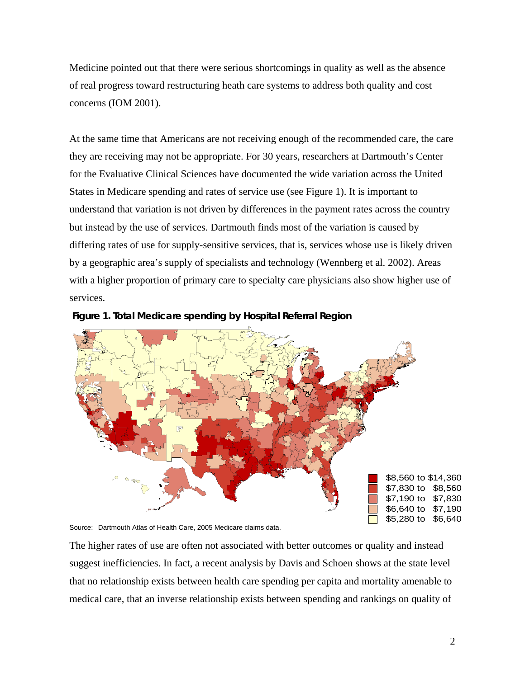Medicine pointed out that there were serious shortcomings in quality as well as the absence of real progress toward restructuring heath care systems to address both quality and cost concerns (IOM 2001).

At the same time that Americans are not receiving enough of the recommended care, the care they are receiving may not be appropriate. For 30 years, researchers at Dartmouth's Center for the Evaluative Clinical Sciences have documented the wide variation across the United States in Medicare spending and rates of service use (see Figure 1). It is important to understand that variation is not driven by differences in the payment rates across the country but instead by the use of services. Dartmouth finds most of the variation is caused by differing rates of use for supply-sensitive services, that is, services whose use is likely driven by a geographic area's supply of specialists and technology (Wennberg et al. 2002). Areas with a higher proportion of primary care to specialty care physicians also show higher use of services.





Source: Dartmouth Atlas of Health Care, 2005 Medicare claims data.

The higher rates of use are often not associated with better outcomes or quality and instead suggest inefficiencies. In fact, a recent analysis by Davis and Schoen shows at the state level that no relationship exists between health care spending per capita and mortality amenable to medical care, that an inverse relationship exists between spending and rankings on quality of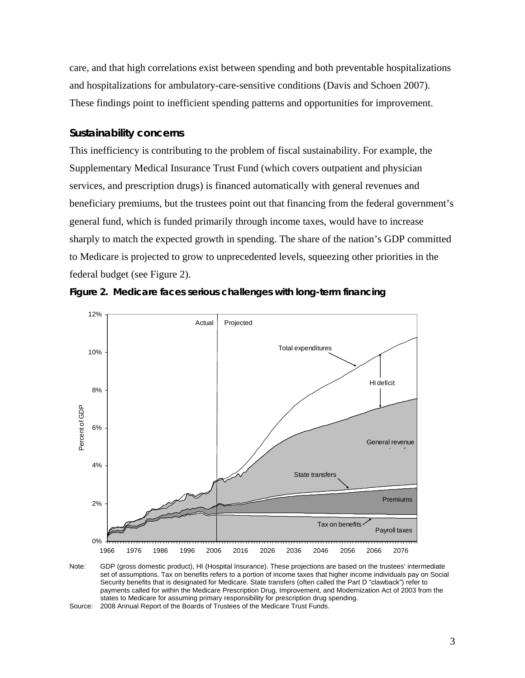care, and that high correlations exist between spending and both preventable hospitalizations and hospitalizations for ambulatory-care-sensitive conditions (Davis and Schoen 2007). These findings point to inefficient spending patterns and opportunities for improvement.

## **Sustainability concerns**

This inefficiency is contributing to the problem of fiscal sustainability. For example, the Supplementary Medical Insurance Trust Fund (which covers outpatient and physician services, and prescription drugs) is financed automatically with general revenues and beneficiary premiums, but the trustees point out that financing from the federal government's general fund, which is funded primarily through income taxes, would have to increase sharply to match the expected growth in spending. The share of the nation's GDP committed to Medicare is projected to grow to unprecedented levels, squeezing other priorities in the federal budget (see Figure 2).





Note: GDP (gross domestic product), HI (Hospital Insurance). These projections are based on the trustees' intermediate set of assumptions. Tax on benefits refers to a portion of income taxes that higher income individuals pay on Social Security benefits that is designated for Medicare. State transfers (often called the Part D "clawback") refer to payments called for within the Medicare Prescription Drug, Improvement, and Modernization Act of 2003 from the states to Medicare for assuming primary responsibility for prescription drug spending. Source: 2008 Annual Report of the Boards of Trustees of the Medicare Trust Funds.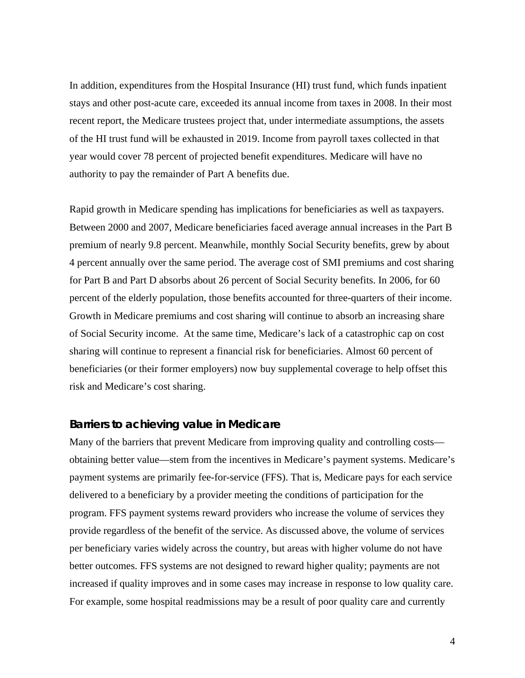In addition, expenditures from the Hospital Insurance (HI) trust fund, which funds inpatient stays and other post-acute care, exceeded its annual income from taxes in 2008. In their most recent report, the Medicare trustees project that, under intermediate assumptions, the assets of the HI trust fund will be exhausted in 2019. Income from payroll taxes collected in that year would cover 78 percent of projected benefit expenditures. Medicare will have no authority to pay the remainder of Part A benefits due.

Rapid growth in Medicare spending has implications for beneficiaries as well as taxpayers. Between 2000 and 2007, Medicare beneficiaries faced average annual increases in the Part B premium of nearly 9.8 percent. Meanwhile, monthly Social Security benefits, grew by about 4 percent annually over the same period. The average cost of SMI premiums and cost sharing for Part B and Part D absorbs about 26 percent of Social Security benefits. In 2006, for 60 percent of the elderly population, those benefits accounted for three-quarters of their income. Growth in Medicare premiums and cost sharing will continue to absorb an increasing share of Social Security income. At the same time, Medicare's lack of a catastrophic cap on cost sharing will continue to represent a financial risk for beneficiaries. Almost 60 percent of beneficiaries (or their former employers) now buy supplemental coverage to help offset this risk and Medicare's cost sharing.

## **Barriers to achieving value in Medicare**

Many of the barriers that prevent Medicare from improving quality and controlling costs obtaining better value—stem from the incentives in Medicare's payment systems. Medicare's payment systems are primarily fee-for-service (FFS). That is, Medicare pays for each service delivered to a beneficiary by a provider meeting the conditions of participation for the program. FFS payment systems reward providers who increase the volume of services they provide regardless of the benefit of the service. As discussed above, the volume of services per beneficiary varies widely across the country, but areas with higher volume do not have better outcomes. FFS systems are not designed to reward higher quality; payments are not increased if quality improves and in some cases may increase in response to low quality care. For example, some hospital readmissions may be a result of poor quality care and currently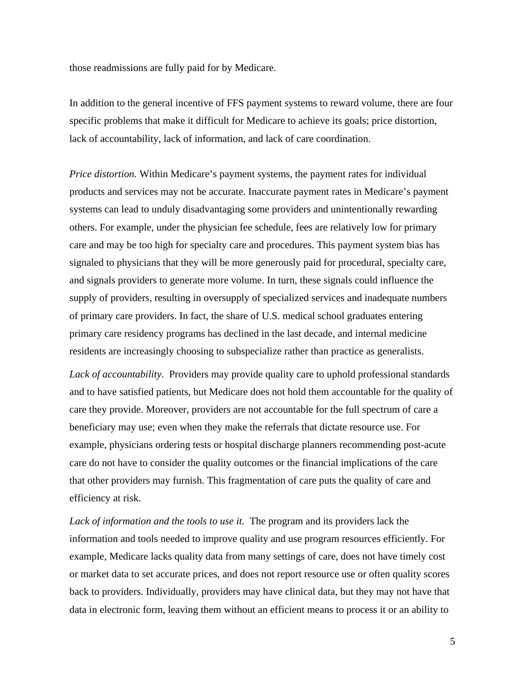those readmissions are fully paid for by Medicare.

In addition to the general incentive of FFS payment systems to reward volume, there are four specific problems that make it difficult for Medicare to achieve its goals; price distortion, lack of accountability, lack of information, and lack of care coordination.

*Price distortion.* Within Medicare's payment systems, the payment rates for individual products and services may not be accurate. Inaccurate payment rates in Medicare's payment systems can lead to unduly disadvantaging some providers and unintentionally rewarding others. For example, under the physician fee schedule, fees are relatively low for primary care and may be too high for specialty care and procedures. This payment system bias has signaled to physicians that they will be more generously paid for procedural, specialty care, and signals providers to generate more volume. In turn, these signals could influence the supply of providers, resulting in oversupply of specialized services and inadequate numbers of primary care providers. In fact, the share of U.S. medical school graduates entering primary care residency programs has declined in the last decade, and internal medicine residents are increasingly choosing to subspecialize rather than practice as generalists.

Lack of accountability. Providers may provide quality care to uphold professional standards and to have satisfied patients, but Medicare does not hold them accountable for the quality of care they provide. Moreover, providers are not accountable for the full spectrum of care a beneficiary may use; even when they make the referrals that dictate resource use. For example, physicians ordering tests or hospital discharge planners recommending post-acute care do not have to consider the quality outcomes or the financial implications of the care that other providers may furnish. This fragmentation of care puts the quality of care and efficiency at risk.

*Lack of information and the tools to use it.* The program and its providers lack the information and tools needed to improve quality and use program resources efficiently. For example, Medicare lacks quality data from many settings of care, does not have timely cost or market data to set accurate prices, and does not report resource use or often quality scores back to providers. Individually, providers may have clinical data, but they may not have that data in electronic form, leaving them without an efficient means to process it or an ability to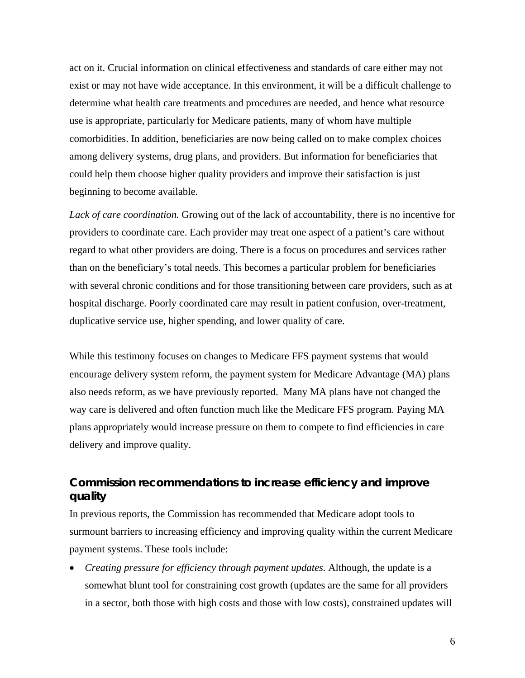act on it. Crucial information on clinical effectiveness and standards of care either may not exist or may not have wide acceptance. In this environment, it will be a difficult challenge to determine what health care treatments and procedures are needed, and hence what resource use is appropriate, particularly for Medicare patients, many of whom have multiple comorbidities. In addition, beneficiaries are now being called on to make complex choices among delivery systems, drug plans, and providers. But information for beneficiaries that could help them choose higher quality providers and improve their satisfaction is just beginning to become available.

*Lack of care coordination.* Growing out of the lack of accountability, there is no incentive for providers to coordinate care. Each provider may treat one aspect of a patient's care without regard to what other providers are doing. There is a focus on procedures and services rather than on the beneficiary's total needs. This becomes a particular problem for beneficiaries with several chronic conditions and for those transitioning between care providers, such as at hospital discharge. Poorly coordinated care may result in patient confusion, over-treatment, duplicative service use, higher spending, and lower quality of care.

While this testimony focuses on changes to Medicare FFS payment systems that would encourage delivery system reform, the payment system for Medicare Advantage (MA) plans also needs reform, as we have previously reported. Many MA plans have not changed the way care is delivered and often function much like the Medicare FFS program. Paying MA plans appropriately would increase pressure on them to compete to find efficiencies in care delivery and improve quality.

# **Commission recommendations to increase efficiency and improve quality**

In previous reports, the Commission has recommended that Medicare adopt tools to surmount barriers to increasing efficiency and improving quality within the current Medicare payment systems. These tools include:

• *Creating pressure for efficiency through payment updates.* Although, the update is a somewhat blunt tool for constraining cost growth (updates are the same for all providers in a sector, both those with high costs and those with low costs), constrained updates will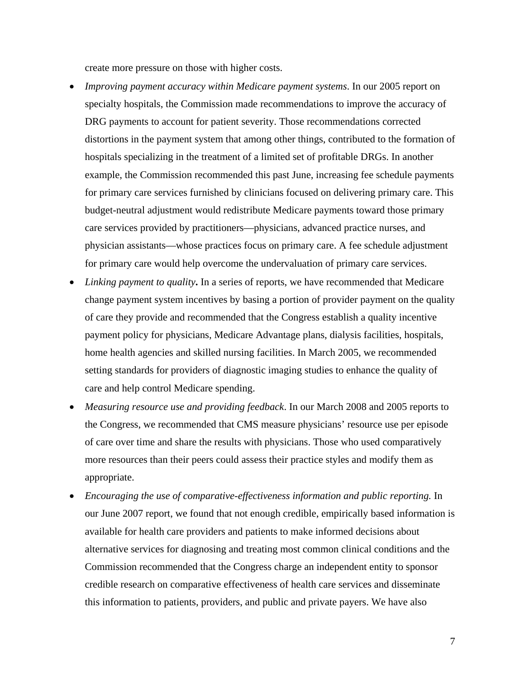create more pressure on those with higher costs.

- *Improving payment accuracy within Medicare payment systems*. In our 2005 report on specialty hospitals, the Commission made recommendations to improve the accuracy of DRG payments to account for patient severity. Those recommendations corrected distortions in the payment system that among other things, contributed to the formation of hospitals specializing in the treatment of a limited set of profitable DRGs. In another example, the Commission recommended this past June, increasing fee schedule payments for primary care services furnished by clinicians focused on delivering primary care. This budget-neutral adjustment would redistribute Medicare payments toward those primary care services provided by practitioners—physicians, advanced practice nurses, and physician assistants—whose practices focus on primary care. A fee schedule adjustment for primary care would help overcome the undervaluation of primary care services.
- *Linking payment to quality***.** In a series of reports, we have recommended that Medicare change payment system incentives by basing a portion of provider payment on the quality of care they provide and recommended that the Congress establish a quality incentive payment policy for physicians, Medicare Advantage plans, dialysis facilities, hospitals, home health agencies and skilled nursing facilities. In March 2005, we recommended setting standards for providers of diagnostic imaging studies to enhance the quality of care and help control Medicare spending.
- *Measuring resource use and providing feedback*. In our March 2008 and 2005 reports to the Congress, we recommended that CMS measure physicians' resource use per episode of care over time and share the results with physicians. Those who used comparatively more resources than their peers could assess their practice styles and modify them as appropriate.
- *Encouraging the use of comparative-effectiveness information and public reporting.* In our June 2007 report, we found that not enough credible, empirically based information is available for health care providers and patients to make informed decisions about alternative services for diagnosing and treating most common clinical conditions and the Commission recommended that the Congress charge an independent entity to sponsor credible research on comparative effectiveness of health care services and disseminate this information to patients, providers, and public and private payers. We have also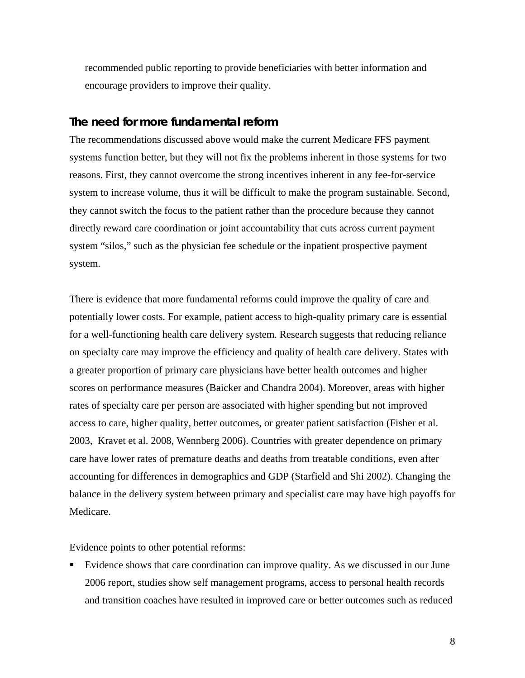recommended public reporting to provide beneficiaries with better information and encourage providers to improve their quality.

## **The need for more fundamental reform**

The recommendations discussed above would make the current Medicare FFS payment systems function better, but they will not fix the problems inherent in those systems for two reasons. First, they cannot overcome the strong incentives inherent in any fee-for-service system to increase volume, thus it will be difficult to make the program sustainable. Second, they cannot switch the focus to the patient rather than the procedure because they cannot directly reward care coordination or joint accountability that cuts across current payment system "silos," such as the physician fee schedule or the inpatient prospective payment system.

There is evidence that more fundamental reforms could improve the quality of care and potentially lower costs. For example, patient access to high-quality primary care is essential for a well-functioning health care delivery system. Research suggests that reducing reliance on specialty care may improve the efficiency and quality of health care delivery. States with a greater proportion of primary care physicians have better health outcomes and higher scores on performance measures (Baicker and Chandra 2004). Moreover, areas with higher rates of specialty care per person are associated with higher spending but not improved access to care, higher quality, better outcomes, or greater patient satisfaction (Fisher et al. 2003, Kravet et al. 2008, Wennberg 2006). Countries with greater dependence on primary care have lower rates of premature deaths and deaths from treatable conditions, even after accounting for differences in demographics and GDP (Starfield and Shi 2002). Changing the balance in the delivery system between primary and specialist care may have high payoffs for Medicare.

Evidence points to other potential reforms:

 Evidence shows that care coordination can improve quality. As we discussed in our June 2006 report, studies show self management programs, access to personal health records and transition coaches have resulted in improved care or better outcomes such as reduced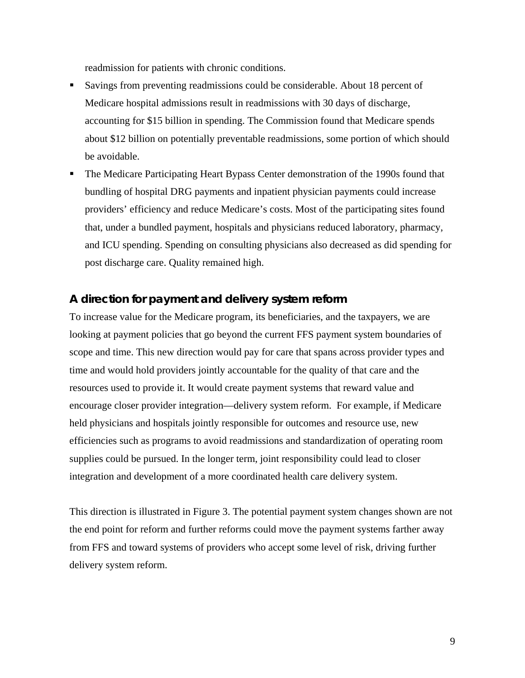readmission for patients with chronic conditions.

- Savings from preventing readmissions could be considerable. About 18 percent of Medicare hospital admissions result in readmissions with 30 days of discharge, accounting for \$15 billion in spending. The Commission found that Medicare spends about \$12 billion on potentially preventable readmissions, some portion of which should be avoidable.
- The Medicare Participating Heart Bypass Center demonstration of the 1990s found that bundling of hospital DRG payments and inpatient physician payments could increase providers' efficiency and reduce Medicare's costs. Most of the participating sites found that, under a bundled payment, hospitals and physicians reduced laboratory, pharmacy, and ICU spending. Spending on consulting physicians also decreased as did spending for post discharge care. Quality remained high.

## **A direction for payment and delivery system reform**

To increase value for the Medicare program, its beneficiaries, and the taxpayers, we are looking at payment policies that go beyond the current FFS payment system boundaries of scope and time. This new direction would pay for care that spans across provider types and time and would hold providers jointly accountable for the quality of that care and the resources used to provide it. It would create payment systems that reward value and encourage closer provider integration—delivery system reform. For example, if Medicare held physicians and hospitals jointly responsible for outcomes and resource use, new efficiencies such as programs to avoid readmissions and standardization of operating room supplies could be pursued. In the longer term, joint responsibility could lead to closer integration and development of a more coordinated health care delivery system.

This direction is illustrated in Figure 3. The potential payment system changes shown are not the end point for reform and further reforms could move the payment systems farther away from FFS and toward systems of providers who accept some level of risk, driving further delivery system reform.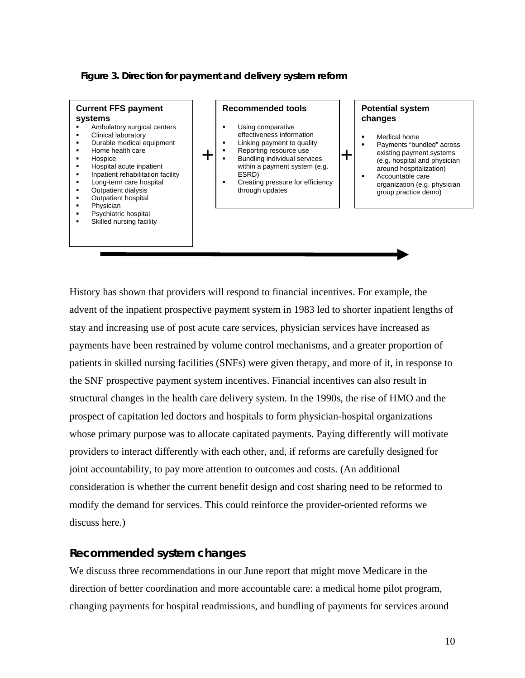#### **Figure 3. Direction for payment and delivery system reform**



History has shown that providers will respond to financial incentives. For example, the advent of the inpatient prospective payment system in 1983 led to shorter inpatient lengths of stay and increasing use of post acute care services, physician services have increased as payments have been restrained by volume control mechanisms, and a greater proportion of patients in skilled nursing facilities (SNFs) were given therapy, and more of it, in response to the SNF prospective payment system incentives. Financial incentives can also result in structural changes in the health care delivery system. In the 1990s, the rise of HMO and the prospect of capitation led doctors and hospitals to form physician-hospital organizations whose primary purpose was to allocate capitated payments. Paying differently will motivate providers to interact differently with each other, and, if reforms are carefully designed for joint accountability, to pay more attention to outcomes and costs. (An additional consideration is whether the current benefit design and cost sharing need to be reformed to modify the demand for services. This could reinforce the provider-oriented reforms we discuss here.)

## **Recommended system changes**

We discuss three recommendations in our June report that might move Medicare in the direction of better coordination and more accountable care: a medical home pilot program, changing payments for hospital readmissions, and bundling of payments for services around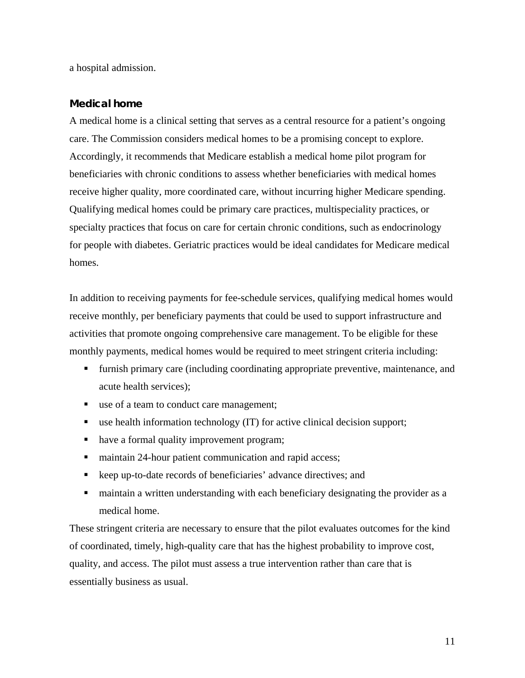a hospital admission.

## **Medical home**

A medical home is a clinical setting that serves as a central resource for a patient's ongoing care. The Commission considers medical homes to be a promising concept to explore. Accordingly, it recommends that Medicare establish a medical home pilot program for beneficiaries with chronic conditions to assess whether beneficiaries with medical homes receive higher quality, more coordinated care, without incurring higher Medicare spending. Qualifying medical homes could be primary care practices, multispeciality practices, or specialty practices that focus on care for certain chronic conditions, such as endocrinology for people with diabetes. Geriatric practices would be ideal candidates for Medicare medical homes.

In addition to receiving payments for fee-schedule services, qualifying medical homes would receive monthly, per beneficiary payments that could be used to support infrastructure and activities that promote ongoing comprehensive care management. To be eligible for these monthly payments, medical homes would be required to meet stringent criteria including:

- furnish primary care (including coordinating appropriate preventive, maintenance, and acute health services);
- use of a team to conduct care management;
- use health information technology (IT) for active clinical decision support;
- have a formal quality improvement program;
- maintain 24-hour patient communication and rapid access;
- keep up-to-date records of beneficiaries' advance directives; and
- maintain a written understanding with each beneficiary designating the provider as a medical home.

These stringent criteria are necessary to ensure that the pilot evaluates outcomes for the kind of coordinated, timely, high-quality care that has the highest probability to improve cost, quality, and access. The pilot must assess a true intervention rather than care that is essentially business as usual.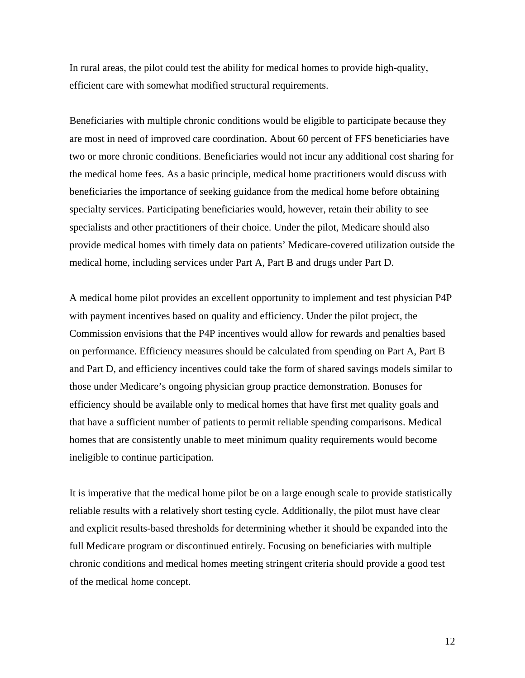In rural areas, the pilot could test the ability for medical homes to provide high-quality, efficient care with somewhat modified structural requirements.

Beneficiaries with multiple chronic conditions would be eligible to participate because they are most in need of improved care coordination. About 60 percent of FFS beneficiaries have two or more chronic conditions. Beneficiaries would not incur any additional cost sharing for the medical home fees. As a basic principle, medical home practitioners would discuss with beneficiaries the importance of seeking guidance from the medical home before obtaining specialty services. Participating beneficiaries would, however, retain their ability to see specialists and other practitioners of their choice. Under the pilot, Medicare should also provide medical homes with timely data on patients' Medicare-covered utilization outside the medical home, including services under Part A, Part B and drugs under Part D.

A medical home pilot provides an excellent opportunity to implement and test physician P4P with payment incentives based on quality and efficiency. Under the pilot project, the Commission envisions that the P4P incentives would allow for rewards and penalties based on performance. Efficiency measures should be calculated from spending on Part A, Part B and Part D, and efficiency incentives could take the form of shared savings models similar to those under Medicare's ongoing physician group practice demonstration. Bonuses for efficiency should be available only to medical homes that have first met quality goals and that have a sufficient number of patients to permit reliable spending comparisons. Medical homes that are consistently unable to meet minimum quality requirements would become ineligible to continue participation.

It is imperative that the medical home pilot be on a large enough scale to provide statistically reliable results with a relatively short testing cycle. Additionally, the pilot must have clear and explicit results-based thresholds for determining whether it should be expanded into the full Medicare program or discontinued entirely. Focusing on beneficiaries with multiple chronic conditions and medical homes meeting stringent criteria should provide a good test of the medical home concept.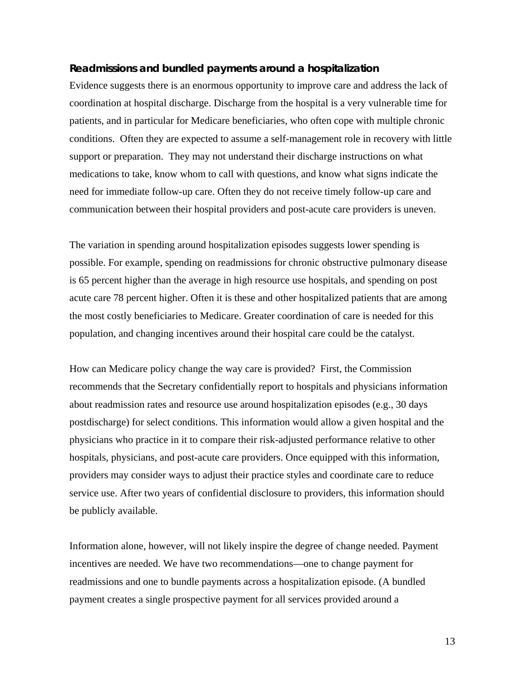#### **Readmissions and bundled payments around a hospitalization**

Evidence suggests there is an enormous opportunity to improve care and address the lack of coordination at hospital discharge. Discharge from the hospital is a very vulnerable time for patients, and in particular for Medicare beneficiaries, who often cope with multiple chronic conditions. Often they are expected to assume a self-management role in recovery with little support or preparation. They may not understand their discharge instructions on what medications to take, know whom to call with questions, and know what signs indicate the need for immediate follow-up care. Often they do not receive timely follow-up care and communication between their hospital providers and post-acute care providers is uneven.

The variation in spending around hospitalization episodes suggests lower spending is possible. For example, spending on readmissions for chronic obstructive pulmonary disease is 65 percent higher than the average in high resource use hospitals, and spending on post acute care 78 percent higher. Often it is these and other hospitalized patients that are among the most costly beneficiaries to Medicare. Greater coordination of care is needed for this population, and changing incentives around their hospital care could be the catalyst.

How can Medicare policy change the way care is provided? First, the Commission recommends that the Secretary confidentially report to hospitals and physicians information about readmission rates and resource use around hospitalization episodes (e.g., 30 days postdischarge) for select conditions. This information would allow a given hospital and the physicians who practice in it to compare their risk-adjusted performance relative to other hospitals, physicians, and post-acute care providers. Once equipped with this information, providers may consider ways to adjust their practice styles and coordinate care to reduce service use. After two years of confidential disclosure to providers, this information should be publicly available.

Information alone, however, will not likely inspire the degree of change needed. Payment incentives are needed. We have two recommendations—one to change payment for readmissions and one to bundle payments across a hospitalization episode. (A bundled payment creates a single prospective payment for all services provided around a

13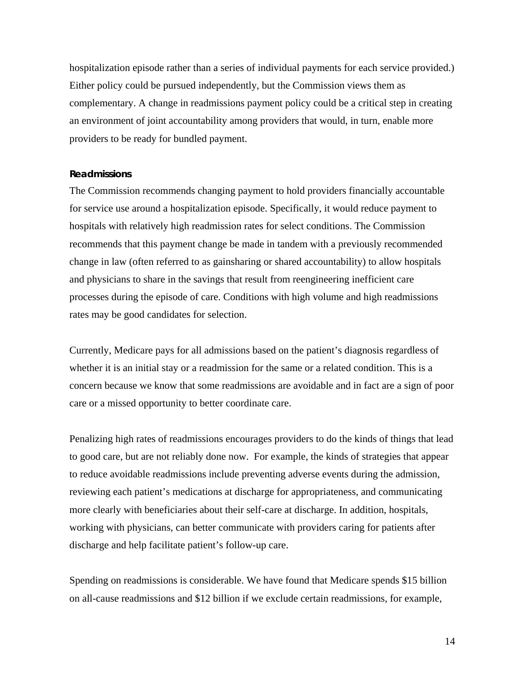hospitalization episode rather than a series of individual payments for each service provided.) Either policy could be pursued independently, but the Commission views them as complementary. A change in readmissions payment policy could be a critical step in creating an environment of joint accountability among providers that would, in turn, enable more providers to be ready for bundled payment.

#### **Readmissions**

The Commission recommends changing payment to hold providers financially accountable for service use around a hospitalization episode. Specifically, it would reduce payment to hospitals with relatively high readmission rates for select conditions. The Commission recommends that this payment change be made in tandem with a previously recommended change in law (often referred to as gainsharing or shared accountability) to allow hospitals and physicians to share in the savings that result from reengineering inefficient care processes during the episode of care. Conditions with high volume and high readmissions rates may be good candidates for selection.

Currently, Medicare pays for all admissions based on the patient's diagnosis regardless of whether it is an initial stay or a readmission for the same or a related condition. This is a concern because we know that some readmissions are avoidable and in fact are a sign of poor care or a missed opportunity to better coordinate care.

Penalizing high rates of readmissions encourages providers to do the kinds of things that lead to good care, but are not reliably done now. For example, the kinds of strategies that appear to reduce avoidable readmissions include preventing adverse events during the admission, reviewing each patient's medications at discharge for appropriateness, and communicating more clearly with beneficiaries about their self-care at discharge. In addition, hospitals, working with physicians, can better communicate with providers caring for patients after discharge and help facilitate patient's follow-up care.

Spending on readmissions is considerable. We have found that Medicare spends \$15 billion on all-cause readmissions and \$12 billion if we exclude certain readmissions, for example,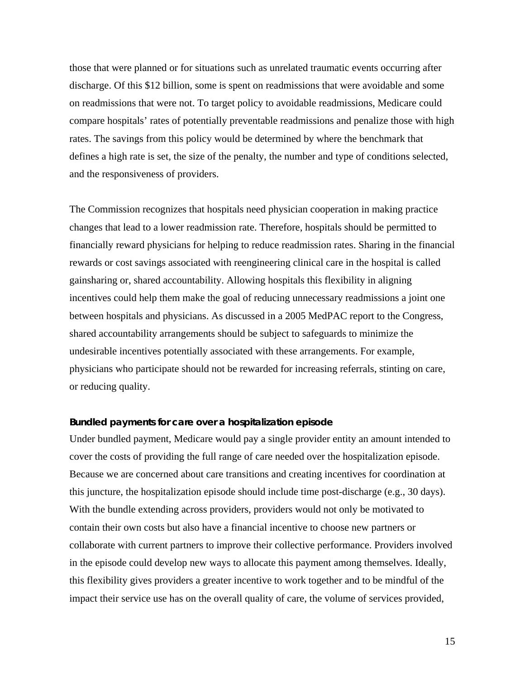those that were planned or for situations such as unrelated traumatic events occurring after discharge. Of this \$12 billion, some is spent on readmissions that were avoidable and some on readmissions that were not. To target policy to avoidable readmissions, Medicare could compare hospitals' rates of potentially preventable readmissions and penalize those with high rates. The savings from this policy would be determined by where the benchmark that defines a high rate is set, the size of the penalty, the number and type of conditions selected, and the responsiveness of providers.

The Commission recognizes that hospitals need physician cooperation in making practice changes that lead to a lower readmission rate. Therefore, hospitals should be permitted to financially reward physicians for helping to reduce readmission rates. Sharing in the financial rewards or cost savings associated with reengineering clinical care in the hospital is called gainsharing or, shared accountability. Allowing hospitals this flexibility in aligning incentives could help them make the goal of reducing unnecessary readmissions a joint one between hospitals and physicians. As discussed in a 2005 MedPAC report to the Congress, shared accountability arrangements should be subject to safeguards to minimize the undesirable incentives potentially associated with these arrangements. For example, physicians who participate should not be rewarded for increasing referrals, stinting on care, or reducing quality.

#### **Bundled payments for care over a hospitalization episode**

Under bundled payment, Medicare would pay a single provider entity an amount intended to cover the costs of providing the full range of care needed over the hospitalization episode. Because we are concerned about care transitions and creating incentives for coordination at this juncture, the hospitalization episode should include time post-discharge (e.g., 30 days). With the bundle extending across providers, providers would not only be motivated to contain their own costs but also have a financial incentive to choose new partners or collaborate with current partners to improve their collective performance. Providers involved in the episode could develop new ways to allocate this payment among themselves. Ideally, this flexibility gives providers a greater incentive to work together and to be mindful of the impact their service use has on the overall quality of care, the volume of services provided,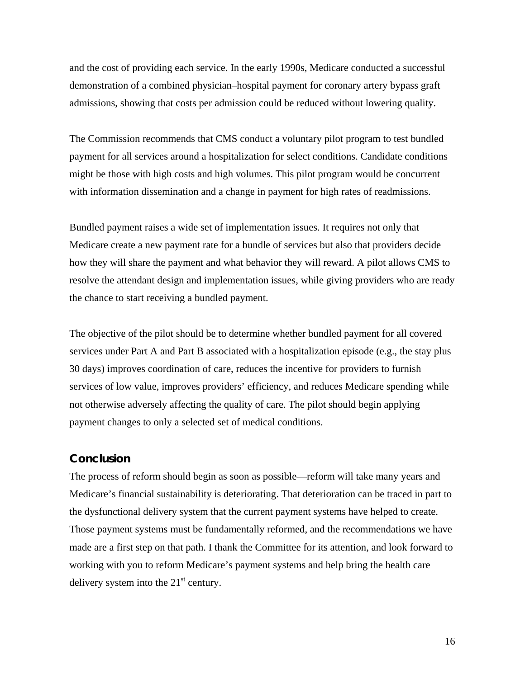and the cost of providing each service. In the early 1990s, Medicare conducted a successful demonstration of a combined physician–hospital payment for coronary artery bypass graft admissions, showing that costs per admission could be reduced without lowering quality.

The Commission recommends that CMS conduct a voluntary pilot program to test bundled payment for all services around a hospitalization for select conditions. Candidate conditions might be those with high costs and high volumes. This pilot program would be concurrent with information dissemination and a change in payment for high rates of readmissions.

Bundled payment raises a wide set of implementation issues. It requires not only that Medicare create a new payment rate for a bundle of services but also that providers decide how they will share the payment and what behavior they will reward. A pilot allows CMS to resolve the attendant design and implementation issues, while giving providers who are ready the chance to start receiving a bundled payment.

The objective of the pilot should be to determine whether bundled payment for all covered services under Part A and Part B associated with a hospitalization episode (e.g., the stay plus 30 days) improves coordination of care, reduces the incentive for providers to furnish services of low value, improves providers' efficiency, and reduces Medicare spending while not otherwise adversely affecting the quality of care. The pilot should begin applying payment changes to only a selected set of medical conditions.

## **Conclusion**

The process of reform should begin as soon as possible—reform will take many years and Medicare's financial sustainability is deteriorating. That deterioration can be traced in part to the dysfunctional delivery system that the current payment systems have helped to create. Those payment systems must be fundamentally reformed, and the recommendations we have made are a first step on that path. I thank the Committee for its attention, and look forward to working with you to reform Medicare's payment systems and help bring the health care delivery system into the  $21<sup>st</sup>$  century.